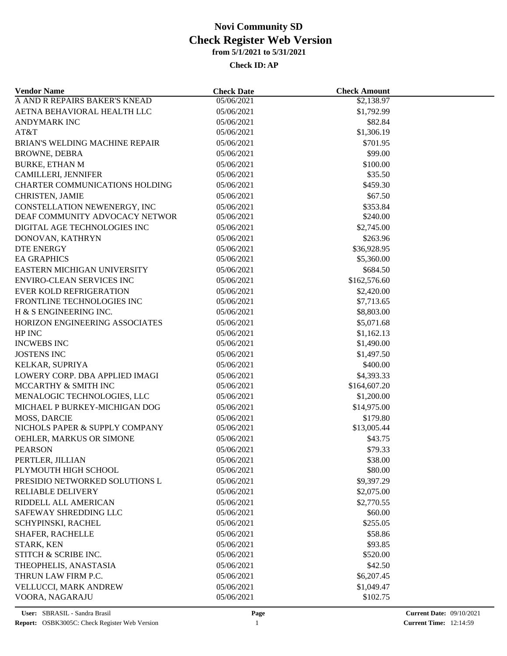| <b>Vendor Name</b>                                    | <b>Check Date</b> | <b>Check Amount</b>     |  |
|-------------------------------------------------------|-------------------|-------------------------|--|
| A AND R REPAIRS BAKER'S KNEAD                         | 05/06/2021        | \$2,138.97              |  |
| AETNA BEHAVIORAL HEALTH LLC                           | 05/06/2021        | \$1,792.99              |  |
| <b>ANDYMARK INC</b>                                   | 05/06/2021        | \$82.84                 |  |
| AT&T                                                  | 05/06/2021        | \$1,306.19              |  |
| <b>BRIAN'S WELDING MACHINE REPAIR</b>                 | 05/06/2021        | \$701.95                |  |
| <b>BROWNE, DEBRA</b>                                  | 05/06/2021        | \$99.00                 |  |
| <b>BURKE, ETHAN M</b>                                 | 05/06/2021        | \$100.00                |  |
| <b>CAMILLERI, JENNIFER</b>                            | 05/06/2021        | \$35.50                 |  |
| <b>CHARTER COMMUNICATIONS HOLDING</b>                 | 05/06/2021        | \$459.30                |  |
| <b>CHRISTEN, JAMIE</b>                                | 05/06/2021        | \$67.50                 |  |
| CONSTELLATION NEWENERGY, INC                          | 05/06/2021        | \$353.84                |  |
| DEAF COMMUNITY ADVOCACY NETWOR                        | 05/06/2021        | \$240.00                |  |
| DIGITAL AGE TECHNOLOGIES INC                          | 05/06/2021        | \$2,745.00              |  |
| DONOVAN, KATHRYN                                      | 05/06/2021        | \$263.96                |  |
| <b>DTE ENERGY</b>                                     | 05/06/2021        | \$36,928.95             |  |
| <b>EA GRAPHICS</b>                                    | 05/06/2021        | \$5,360.00              |  |
| EASTERN MICHIGAN UNIVERSITY                           | 05/06/2021        | \$684.50                |  |
| <b>ENVIRO-CLEAN SERVICES INC</b>                      | 05/06/2021        | \$162,576.60            |  |
| <b>EVER KOLD REFRIGERATION</b>                        | 05/06/2021        | \$2,420.00              |  |
| FRONTLINE TECHNOLOGIES INC                            | 05/06/2021        | \$7,713.65              |  |
| H & S ENGINEERING INC.                                | 05/06/2021        | \$8,803.00              |  |
| HORIZON ENGINEERING ASSOCIATES                        | 05/06/2021        | \$5,071.68              |  |
| HP INC                                                | 05/06/2021        | \$1,162.13              |  |
| <b>INCWEBS INC</b>                                    | 05/06/2021        | \$1,490.00              |  |
| <b>JOSTENS INC</b>                                    | 05/06/2021        | \$1,497.50              |  |
| KELKAR, SUPRIYA                                       | 05/06/2021        | \$400.00                |  |
| LOWERY CORP. DBA APPLIED IMAGI                        | 05/06/2021        | \$4,393.33              |  |
| MCCARTHY & SMITH INC                                  | 05/06/2021        | \$164,607.20            |  |
| MENALOGIC TECHNOLOGIES, LLC                           | 05/06/2021        | \$1,200.00              |  |
| MICHAEL P BURKEY-MICHIGAN DOG                         | 05/06/2021        | \$14,975.00             |  |
|                                                       | 05/06/2021        |                         |  |
| <b>MOSS, DARCIE</b><br>NICHOLS PAPER & SUPPLY COMPANY | 05/06/2021        | \$179.80<br>\$13,005.44 |  |
|                                                       |                   |                         |  |
| OEHLER, MARKUS OR SIMONE<br><b>PEARSON</b>            | 05/06/2021        | \$43.75                 |  |
|                                                       | 05/06/2021        | \$79.33                 |  |
| PERTLER, JILLIAN                                      | 05/06/2021        | \$38.00                 |  |
| PLYMOUTH HIGH SCHOOL                                  | 05/06/2021        | \$80.00                 |  |
| PRESIDIO NETWORKED SOLUTIONS L                        | 05/06/2021        | \$9,397.29              |  |
| <b>RELIABLE DELIVERY</b>                              | 05/06/2021        | \$2,075.00              |  |
| RIDDELL ALL AMERICAN                                  | 05/06/2021        | \$2,770.55              |  |
| SAFEWAY SHREDDING LLC                                 | 05/06/2021        | \$60.00                 |  |
| SCHYPINSKI, RACHEL                                    | 05/06/2021        | \$255.05                |  |
| SHAFER, RACHELLE                                      | 05/06/2021        | \$58.86                 |  |
| STARK, KEN                                            | 05/06/2021        | \$93.85                 |  |
| STITCH & SCRIBE INC.                                  | 05/06/2021        | \$520.00                |  |
| THEOPHELIS, ANASTASIA                                 | 05/06/2021        | \$42.50                 |  |
| THRUN LAW FIRM P.C.                                   | 05/06/2021        | \$6,207.45              |  |
| VELLUCCI, MARK ANDREW                                 | 05/06/2021        | \$1,049.47              |  |
| VOORA, NAGARAJU                                       | 05/06/2021        | \$102.75                |  |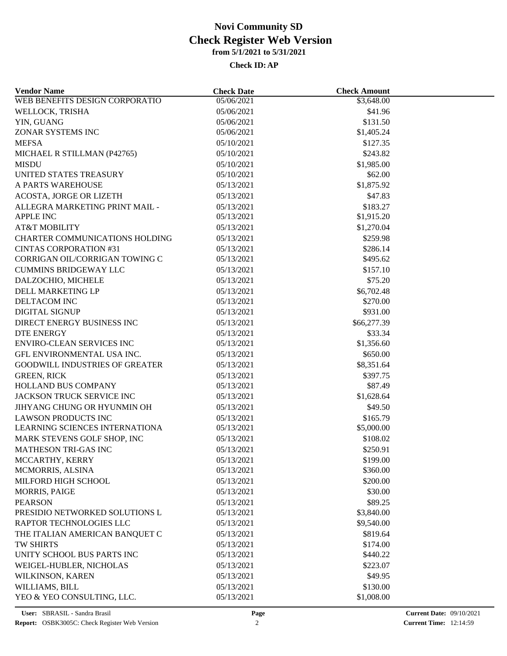| <b>Vendor Name</b>                    | <b>Check Date</b> | <b>Check Amount</b> |  |
|---------------------------------------|-------------------|---------------------|--|
| WEB BENEFITS DESIGN CORPORATIO        | 05/06/2021        | \$3,648.00          |  |
| WELLOCK, TRISHA                       | 05/06/2021        | \$41.96             |  |
| YIN, GUANG                            | 05/06/2021        | \$131.50            |  |
| ZONAR SYSTEMS INC                     | 05/06/2021        | \$1,405.24          |  |
| <b>MEFSA</b>                          | 05/10/2021        | \$127.35            |  |
| MICHAEL R STILLMAN (P42765)           | 05/10/2021        | \$243.82            |  |
| <b>MISDU</b>                          | 05/10/2021        | \$1,985.00          |  |
| UNITED STATES TREASURY                | 05/10/2021        | \$62.00             |  |
| A PARTS WAREHOUSE                     | 05/13/2021        | \$1,875.92          |  |
| <b>ACOSTA, JORGE OR LIZETH</b>        | 05/13/2021        | \$47.83             |  |
| ALLEGRA MARKETING PRINT MAIL -        | 05/13/2021        | \$183.27            |  |
| <b>APPLE INC</b>                      | 05/13/2021        | \$1,915.20          |  |
| <b>AT&amp;T MOBILITY</b>              | 05/13/2021        | \$1,270.04          |  |
| <b>CHARTER COMMUNICATIONS HOLDING</b> | 05/13/2021        | \$259.98            |  |
| <b>CINTAS CORPORATION #31</b>         | 05/13/2021        | \$286.14            |  |
| CORRIGAN OIL/CORRIGAN TOWING C        | 05/13/2021        | \$495.62            |  |
| <b>CUMMINS BRIDGEWAY LLC</b>          | 05/13/2021        | \$157.10            |  |
| DALZOCHIO, MICHELE                    | 05/13/2021        | \$75.20             |  |
| DELL MARKETING LP                     | 05/13/2021        | \$6,702.48          |  |
| DELTACOM INC                          | 05/13/2021        | \$270.00            |  |
| DIGITAL SIGNUP                        | 05/13/2021        | \$931.00            |  |
| DIRECT ENERGY BUSINESS INC            | 05/13/2021        | \$66,277.39         |  |
| <b>DTE ENERGY</b>                     | 05/13/2021        | \$33.34             |  |
| <b>ENVIRO-CLEAN SERVICES INC</b>      | 05/13/2021        | \$1,356.60          |  |
| GFL ENVIRONMENTAL USA INC.            | 05/13/2021        | \$650.00            |  |
| <b>GOODWILL INDUSTRIES OF GREATER</b> | 05/13/2021        | \$8,351.64          |  |
| <b>GREEN, RICK</b>                    | 05/13/2021        | \$397.75            |  |
| HOLLAND BUS COMPANY                   | 05/13/2021        | \$87.49             |  |
| JACKSON TRUCK SERVICE INC             | 05/13/2021        | \$1,628.64          |  |
| JIHYANG CHUNG OR HYUNMIN OH           | 05/13/2021        | \$49.50             |  |
| <b>LAWSON PRODUCTS INC</b>            | 05/13/2021        | \$165.79            |  |
| LEARNING SCIENCES INTERNATIONA        | 05/13/2021        | \$5,000.00          |  |
| MARK STEVENS GOLF SHOP, INC           | 05/13/2021        | \$108.02            |  |
| <b>MATHESON TRI-GAS INC</b>           | 05/13/2021        | \$250.91            |  |
| MCCARTHY, KERRY                       | 05/13/2021        | \$199.00            |  |
| MCMORRIS, ALSINA                      | 05/13/2021        | \$360.00            |  |
| MILFORD HIGH SCHOOL                   | 05/13/2021        | \$200.00            |  |
| <b>MORRIS, PAIGE</b>                  | 05/13/2021        | \$30.00             |  |
| <b>PEARSON</b>                        | 05/13/2021        | \$89.25             |  |
| PRESIDIO NETWORKED SOLUTIONS L        | 05/13/2021        | \$3,840.00          |  |
| RAPTOR TECHNOLOGIES LLC               | 05/13/2021        | \$9,540.00          |  |
| THE ITALIAN AMERICAN BANQUET C        | 05/13/2021        | \$819.64            |  |
| TW SHIRTS                             | 05/13/2021        | \$174.00            |  |
| UNITY SCHOOL BUS PARTS INC            | 05/13/2021        | \$440.22            |  |
|                                       |                   |                     |  |
| WEIGEL-HUBLER, NICHOLAS               | 05/13/2021        | \$223.07            |  |
| WILKINSON, KAREN                      | 05/13/2021        | \$49.95             |  |
| WILLIAMS, BILL                        | 05/13/2021        | \$130.00            |  |
| YEO & YEO CONSULTING, LLC.            | 05/13/2021        | \$1,008.00          |  |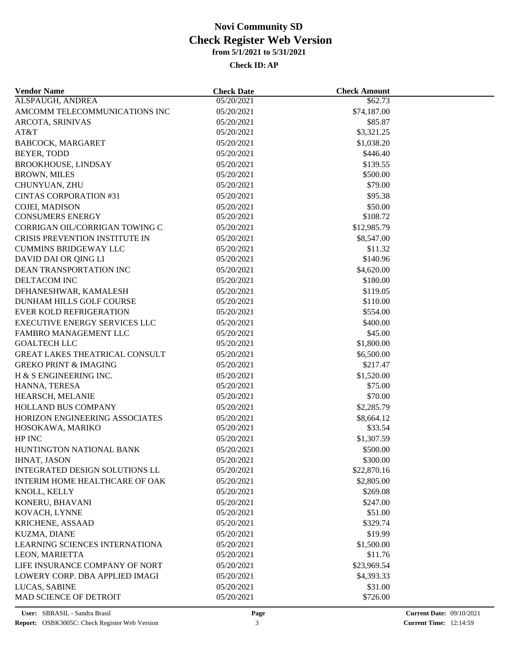| <b>Vendor Name</b>                    | <b>Check Date</b> | <b>Check Amount</b> |  |
|---------------------------------------|-------------------|---------------------|--|
| ALSPAUGH, ANDREA                      | 05/20/2021        | \$62.73             |  |
| AMCOMM TELECOMMUNICATIONS INC         | 05/20/2021        | \$74,187.00         |  |
| ARCOTA, SRINIVAS                      | 05/20/2021        | \$85.87             |  |
| AT&T                                  | 05/20/2021        | \$3,321.25          |  |
| BABCOCK, MARGARET                     | 05/20/2021        | \$1,038.20          |  |
| BEYER, TODD                           | 05/20/2021        | \$446.40            |  |
| <b>BROOKHOUSE, LINDSAY</b>            | 05/20/2021        | \$139.55            |  |
| <b>BROWN, MILES</b>                   | 05/20/2021        | \$500.00            |  |
| CHUNYUAN, ZHU                         | 05/20/2021        | \$79.00             |  |
| <b>CINTAS CORPORATION #31</b>         | 05/20/2021        | \$95.38             |  |
| COJEI, MADISON                        | 05/20/2021        | \$50.00             |  |
| <b>CONSUMERS ENERGY</b>               | 05/20/2021        | \$108.72            |  |
| CORRIGAN OIL/CORRIGAN TOWING C        | 05/20/2021        | \$12,985.79         |  |
| CRISIS PREVENTION INSTITUTE IN        | 05/20/2021        | \$8,547.00          |  |
| <b>CUMMINS BRIDGEWAY LLC</b>          | 05/20/2021        | \$11.32             |  |
| DAVID DAI OR QING LI                  | 05/20/2021        | \$140.96            |  |
| DEAN TRANSPORTATION INC               | 05/20/2021        | \$4,620.00          |  |
| DELTACOM INC                          | 05/20/2021        | \$180.00            |  |
| DFHANESHWAR, KAMALESH                 | 05/20/2021        | \$119.05            |  |
| DUNHAM HILLS GOLF COURSE              | 05/20/2021        | \$110.00            |  |
| <b>EVER KOLD REFRIGERATION</b>        | 05/20/2021        | \$554.00            |  |
| <b>EXECUTIVE ENERGY SERVICES LLC</b>  | 05/20/2021        | \$400.00            |  |
| FAMBRO MANAGEMENT LLC                 | 05/20/2021        | \$45.00             |  |
| <b>GOALTECH LLC</b>                   | 05/20/2021        | \$1,800.00          |  |
| <b>GREAT LAKES THEATRICAL CONSULT</b> | 05/20/2021        | \$6,500.00          |  |
| <b>GREKO PRINT &amp; IMAGING</b>      | 05/20/2021        | \$217.47            |  |
| H & S ENGINEERING INC.                | 05/20/2021        | \$1,520.00          |  |
| HANNA, TERESA                         | 05/20/2021        | \$75.00             |  |
| HEARSCH, MELANIE                      | 05/20/2021        | \$70.00             |  |
| HOLLAND BUS COMPANY                   | 05/20/2021        | \$2,285.79          |  |
| HORIZON ENGINEERING ASSOCIATES        | 05/20/2021        | \$8,664.12          |  |
| HOSOKAWA, MARIKO                      | 05/20/2021        | \$33.54             |  |
| HP INC                                | 05/20/2021        | \$1,307.59          |  |
| HUNTINGTON NATIONAL BANK              | 05/20/2021        | \$500.00            |  |
| <b>IHNAT, JASON</b>                   | 05/20/2021        | \$300.00            |  |
| INTEGRATED DESIGN SOLUTIONS LL        | 05/20/2021        | \$22,870.16         |  |
| INTERIM HOME HEALTHCARE OF OAK        | 05/20/2021        | \$2,805.00          |  |
| KNOLL, KELLY                          | 05/20/2021        | \$269.08            |  |
| KONERU, BHAVANI                       | 05/20/2021        | \$247.00            |  |
| KOVACH, LYNNE                         | 05/20/2021        | \$51.00             |  |
| KRICHENE, ASSAAD                      | 05/20/2021        | \$329.74            |  |
| KUZMA, DIANE                          | 05/20/2021        | \$19.99             |  |
| LEARNING SCIENCES INTERNATIONA        | 05/20/2021        | \$1,500.00          |  |
| LEON, MARIETTA                        | 05/20/2021        | \$11.76             |  |
| LIFE INSURANCE COMPANY OF NORT        | 05/20/2021        | \$23,969.54         |  |
| LOWERY CORP. DBA APPLIED IMAGI        | 05/20/2021        | \$4,393.33          |  |
| LUCAS, SABINE                         | 05/20/2021        | \$31.00             |  |
| MAD SCIENCE OF DETROIT                | 05/20/2021        | \$726.00            |  |
|                                       |                   |                     |  |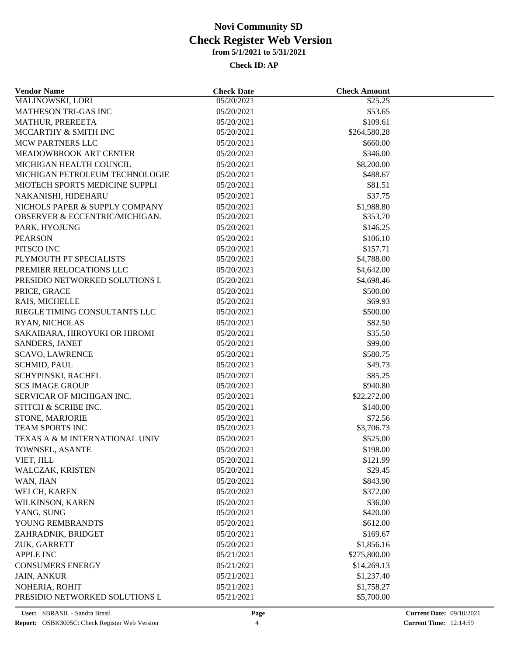| <b>Vendor Name</b>                        | <b>Check Date</b>        | <b>Check Amount</b> |  |
|-------------------------------------------|--------------------------|---------------------|--|
| MALINOWSKI, LORI                          | 05/20/2021               | \$25.25             |  |
| MATHESON TRI-GAS INC                      | 05/20/2021               | \$53.65             |  |
| MATHUR, PREREETA                          | 05/20/2021               | \$109.61            |  |
| MCCARTHY & SMITH INC                      | 05/20/2021               | \$264,580.28        |  |
| MCW PARTNERS LLC                          | 05/20/2021               | \$660.00            |  |
| MEADOWBROOK ART CENTER                    | 05/20/2021               | \$346.00            |  |
| MICHIGAN HEALTH COUNCIL                   | 05/20/2021               | \$8,200.00          |  |
| MICHIGAN PETROLEUM TECHNOLOGIE            | 05/20/2021               | \$488.67            |  |
| MIOTECH SPORTS MEDICINE SUPPLI            | 05/20/2021               | \$81.51             |  |
| NAKANISHI, HIDEHARU                       | 05/20/2021               | \$37.75             |  |
| NICHOLS PAPER & SUPPLY COMPANY            | 05/20/2021               | \$1,988.80          |  |
| <b>OBSERVER &amp; ECCENTRIC/MICHIGAN.</b> | 05/20/2021               | \$353.70            |  |
| PARK, HYOJUNG                             | 05/20/2021               | \$146.25            |  |
| <b>PEARSON</b>                            | 05/20/2021               | \$106.10            |  |
| PITSCO INC                                | 05/20/2021               | \$157.71            |  |
| PLYMOUTH PT SPECIALISTS                   | 05/20/2021               | \$4,788.00          |  |
| PREMIER RELOCATIONS LLC                   | 05/20/2021               | \$4,642.00          |  |
| PRESIDIO NETWORKED SOLUTIONS L            | 05/20/2021               | \$4,698.46          |  |
| PRICE, GRACE                              | 05/20/2021               | \$500.00            |  |
| RAIS, MICHELLE                            | 05/20/2021               | \$69.93             |  |
| RIEGLE TIMING CONSULTANTS LLC             | 05/20/2021               | \$500.00            |  |
| RYAN, NICHOLAS                            | 05/20/2021               | \$82.50             |  |
| SAKAIBARA, HIROYUKI OR HIROMI             | 05/20/2021               | \$35.50             |  |
| SANDERS, JANET                            | 05/20/2021               | \$99.00             |  |
| <b>SCAVO, LAWRENCE</b>                    | 05/20/2021               | \$580.75            |  |
| <b>SCHMID, PAUL</b>                       | 05/20/2021               | \$49.73             |  |
| SCHYPINSKI, RACHEL                        | 05/20/2021               | \$85.25             |  |
| <b>SCS IMAGE GROUP</b>                    | 05/20/2021               | \$940.80            |  |
| SERVICAR OF MICHIGAN INC.                 | 05/20/2021               | \$22,272.00         |  |
| STITCH & SCRIBE INC.                      | 05/20/2021               | \$140.00            |  |
| STONE, MARJORIE                           | 05/20/2021               | \$72.56             |  |
| <b>TEAM SPORTS INC</b>                    | 05/20/2021               | \$3,706.73          |  |
| TEXAS A & M INTERNATIONAL UNIV            | 05/20/2021               | \$525.00            |  |
| TOWNSEL, ASANTE                           | 05/20/2021               | \$198.00            |  |
| VIET, JILL                                | 05/20/2021               | \$121.99            |  |
| WALCZAK, KRISTEN                          | 05/20/2021               | \$29.45             |  |
| WAN, JIAN                                 | 05/20/2021               | \$843.90            |  |
| WELCH, KAREN                              | 05/20/2021               | \$372.00            |  |
| WILKINSON, KAREN                          |                          |                     |  |
| YANG, SUNG                                | 05/20/2021<br>05/20/2021 | \$36.00<br>\$420.00 |  |
| YOUNG REMBRANDTS                          | 05/20/2021               | \$612.00            |  |
|                                           |                          | \$169.67            |  |
| ZAHRADNIK, BRIDGET                        | 05/20/2021               |                     |  |
| ZUK, GARRETT                              | 05/20/2021               | \$1,856.16          |  |
| APPLE INC                                 | 05/21/2021               | \$275,800.00        |  |
| <b>CONSUMERS ENERGY</b>                   | 05/21/2021               | \$14,269.13         |  |
| <b>JAIN, ANKUR</b>                        | 05/21/2021               | \$1,237.40          |  |
| NOHERIA, ROHIT                            | 05/21/2021               | \$1,758.27          |  |
| PRESIDIO NETWORKED SOLUTIONS L            | 05/21/2021               | \$5,700.00          |  |